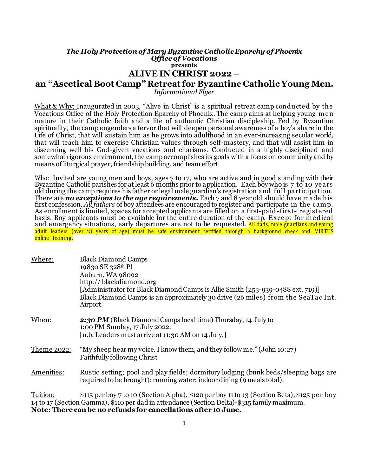## *The Holy Protection of Mary Byzantine Catholic Eparchy of Phoenix Office of Vocations* **presents ALIVE IN CHRIST 2022 – an "Ascetical Boot Camp" Retreat for Byzantine Catholic Young Men.**

*Informational Flyer*

What & Why: Inaugurated in 2003, "Alive in Christ" is a spiritual retreat camp conducted by the Vocations Office of the Holy Protection Eparchy of Phoenix. The camp aims at helping young men mature in their Catholic faith and a life of authentic Christian discipleship. Fed by Byzantine spirituality, the camp engenders a fervor that will deepen personal awareness of a boy's share in the Life of Christ, that will sustain him as he grows into adulthood in an ever-increasing secular world, that will teach him to exercise Christian values through self-mastery, and that will assist him in discerning well his God-given vocations and charisms. Conducted in a highly disciplined and somewhat rigorous environment, the camp accomplishes its goals with a focus on community and by means of liturgical prayer, friendship building, and team effort.

Who: Invited are young men and boys, ages 7 to 17, who are active and in good standing with their Byzantine Catholic parishes for at least 6 months prior to application. Each boy who is 7 to 10 years old during the camp requires his father or legal male guardian's registration and full participation. There are *no exceptions to the age requirements.* Each 7 and 8 year old should have made his first confession. *All fathers* of boy attendees are encouraged to register and participate in the camp. As enrollment is limited, spaces for accepted applicants are filled on a first-paid-first- registered basis. Boy applicants must be available for the entire duration of the camp. Except for medical and emergency situations, early departures are not to be requested. All dads, male guardians and young adult leaders (over 18 years of age) must be safe environment certified through a background check and VIRTUS online training.

| Where:             | <b>Black Diamond Camps</b><br>19830 SE 328th Pl<br>Auburn, WA 98092<br>http://blackdiamond.org<br>[Administrator for Black Diamond Camps is Allie Smith (253-939-0488 ext. 719)]<br>Black Diamond Camps is an approximately 30 drive (26 miles) from the SeaTac Int.<br>Airport. |
|--------------------|----------------------------------------------------------------------------------------------------------------------------------------------------------------------------------------------------------------------------------------------------------------------------------|
| When:              | 2:30 PM (Black Diamond Camps local time) Thursday, 14 July to<br>1:00 PM Sunday, 17 July 2022.<br>[n.b. Leaders must arrive at 11:30 AM on 14 July.]                                                                                                                             |
| <u>Theme 2022:</u> | "My sheep hear my voice. I know them, and they follow me." (John 10:27)<br><b>Faithfully following Christ</b>                                                                                                                                                                    |
| Amenities:         | Rustic setting; pool and play fields; dormitory lodging (bunk beds/sleeping bags are<br>required to be brought); running water; indoor dining (9 meals total).                                                                                                                   |
| Tuition:           | \$115 per boy 7 to 10 (Section Alpha), \$120 per boy 11 to 13 (Section Beta), \$125 per boy<br>14 to 17 (Section Gamma), \$110 per dad in attendance (Section Delta)-\$315 family maximum.<br>Note: There can be no refunds for cancellations after 10 June.                     |